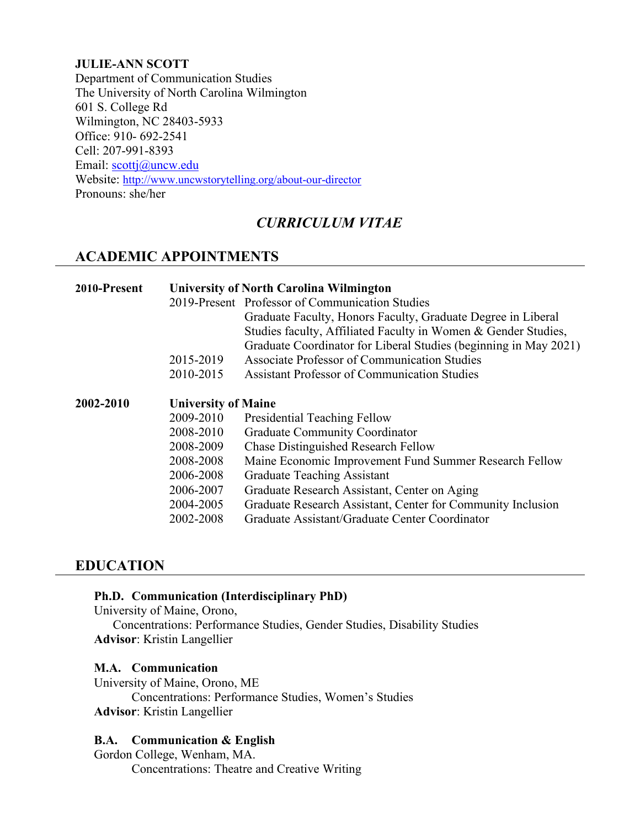#### **JULIE-ANN SCOTT**

Department of Communication Studies The University of North Carolina Wilmington 601 S. College Rd Wilmington, NC 28403-5933 Office: 910- 692-2541 Cell: 207-991-8393 Email: [scottj@uncw.edu](mailto:scottj@uncw.edu) Website:<http://www.uncwstorytelling.org/about-our-director> Pronouns: she/her

# *CURRICULUM VITAE*

# **ACADEMIC APPOINTMENTS**

| 2010-Present |                            | <b>University of North Carolina Wilmington</b><br>2019-Present Professor of Communication Studies<br>Graduate Faculty, Honors Faculty, Graduate Degree in Liberal<br>Studies faculty, Affiliated Faculty in Women & Gender Studies,<br>Graduate Coordinator for Liberal Studies (beginning in May 2021) |
|--------------|----------------------------|---------------------------------------------------------------------------------------------------------------------------------------------------------------------------------------------------------------------------------------------------------------------------------------------------------|
|              | 2015-2019                  | Associate Professor of Communication Studies                                                                                                                                                                                                                                                            |
|              | 2010-2015                  | <b>Assistant Professor of Communication Studies</b>                                                                                                                                                                                                                                                     |
| 2002-2010    | <b>University of Maine</b> |                                                                                                                                                                                                                                                                                                         |
|              | 2009-2010                  | Presidential Teaching Fellow                                                                                                                                                                                                                                                                            |
|              | 2008-2010                  | <b>Graduate Community Coordinator</b>                                                                                                                                                                                                                                                                   |
|              | 2008-2009                  | <b>Chase Distinguished Research Fellow</b>                                                                                                                                                                                                                                                              |
|              | 2008-2008                  | Maine Economic Improvement Fund Summer Research Fellow                                                                                                                                                                                                                                                  |
|              | 2006-2008                  | <b>Graduate Teaching Assistant</b>                                                                                                                                                                                                                                                                      |
|              | 2006-2007                  | Graduate Research Assistant, Center on Aging                                                                                                                                                                                                                                                            |
|              | 2004-2005                  | Graduate Research Assistant, Center for Community Inclusion                                                                                                                                                                                                                                             |
|              | 2002-2008                  | Graduate Assistant/Graduate Center Coordinator                                                                                                                                                                                                                                                          |

#### **EDUCATION**

#### **Ph.D. Communication (Interdisciplinary PhD)**

University of Maine, Orono,

Concentrations: Performance Studies, Gender Studies, Disability Studies **Advisor**: Kristin Langellier

#### **M.A. Communication**

University of Maine, Orono, ME Concentrations: Performance Studies, Women's Studies **Advisor**: Kristin Langellier

#### **B.A. Communication & English**

Gordon College, Wenham, MA. Concentrations: Theatre and Creative Writing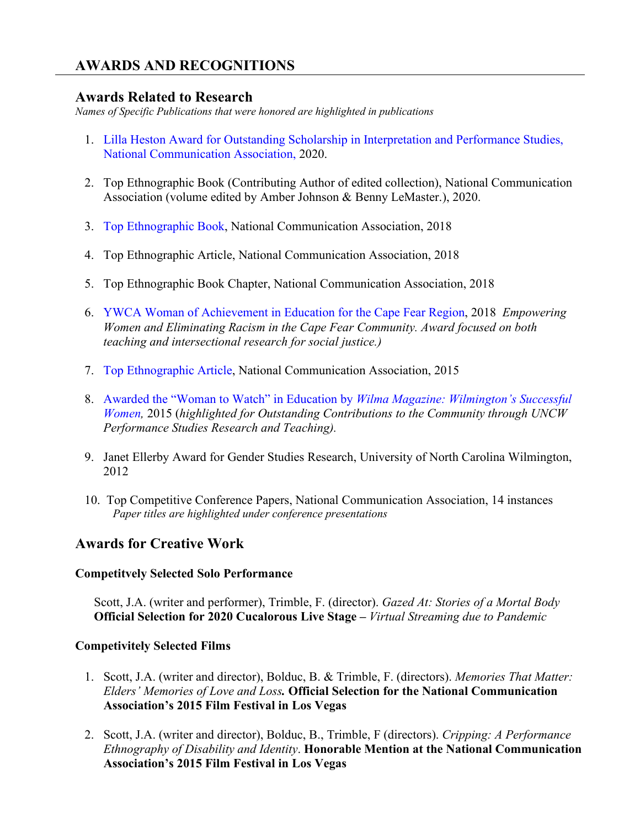# **AWARDS AND RECOGNITIONS**

## **Awards Related to Research**

*Names of Specific Publications that were honored are highlighted in publications*

- 1. [Lilla Heston Award for Outstanding Scholarship in Interpretation and Performance Studies,](https://uncw.edu/news/2020/09/professor-julie-ann-scott-pollock-wins-prestigious-national-communication-association-award.html#:%7E:text=Julie%2DAnn%20Scott%2DPollock%2C,from%20the%20National%20Communication%20Association.)  [National Communication Association,](https://uncw.edu/news/2020/09/professor-julie-ann-scott-pollock-wins-prestigious-national-communication-association-award.html#:%7E:text=Julie%2DAnn%20Scott%2DPollock%2C,from%20the%20National%20Communication%20Association.) 2020.
- 2. Top Ethnographic Book (Contributing Author of edited collection), National Communication Association (volume edited by Amber Johnson & Benny LeMaster.), 2020.
- 3. [Top Ethnographic Book,](https://uncw.edu/cas/about/news/2018/uncw-communication-studies-professor-julie-ann-scott-pollock-recognized-for-best-publications-of-2018.html) National Communication Association, 2018
- 4. Top Ethnographic Article, National Communication Association, 2018
- 5. Top Ethnographic Book Chapter, National Communication Association, 2018
- 6. [YWCA Woman of Achievement in Education for the Cape Fear Region,](https://portcitydaily.com/story/2018/04/10/professor-recognized-for-her-work-helping-other-feels-comfortable-with-those-who-are-stigmatized/) 2018 *Empowering Women and Eliminating Racism in the Cape Fear Community. Award focused on both teaching and intersectional research for social justice.)*
- 7. [Top Ethnographic Article,](https://uncw.edu/news/2016/12/national-communication-association-honors-scott-pollocks-article-as-one-of-years-best.html) National Communication Association, 2015
- 8. [Awarded the "Woman to Watch" in Education by](https://www.wilmamag.com/2015-women-to-watch-award-in-education/) *Wilma Magazine: Wilmington's Successful [Women,](https://www.wilmamag.com/2015-women-to-watch-award-in-education/)* 2015 (*highlighted for Outstanding Contributions to the Community through UNCW Performance Studies Research and Teaching).*
- 9. Janet Ellerby Award for Gender Studies Research, University of North Carolina Wilmington, 2012
- 10. Top Competitive Conference Papers, National Communication Association, 14 instances *Paper titles are highlighted under conference presentations*

# **Awards for Creative Work**

#### **Competitvely Selected Solo Performance**

Scott, J.A. (writer and performer), Trimble, F. (director). *Gazed At: Stories of a Mortal Body* **Official Selection for 2020 Cucalorous Live Stage –** *Virtual Streaming due to Pandemic*

#### **Competivitely Selected Films**

- 1. Scott, J.A. (writer and director), Bolduc, B. & Trimble, F. (directors). *Memories That Matter: Elders' Memories of Love and Loss.* **Official Selection for the National Communication Association's 2015 Film Festival in Los Vegas**
- 2. Scott, J.A. (writer and director), Bolduc, B., Trimble, F (directors). *Cripping: A Performance Ethnography of Disability and Identity*. **Honorable Mention at the National Communication Association's 2015 Film Festival in Los Vegas**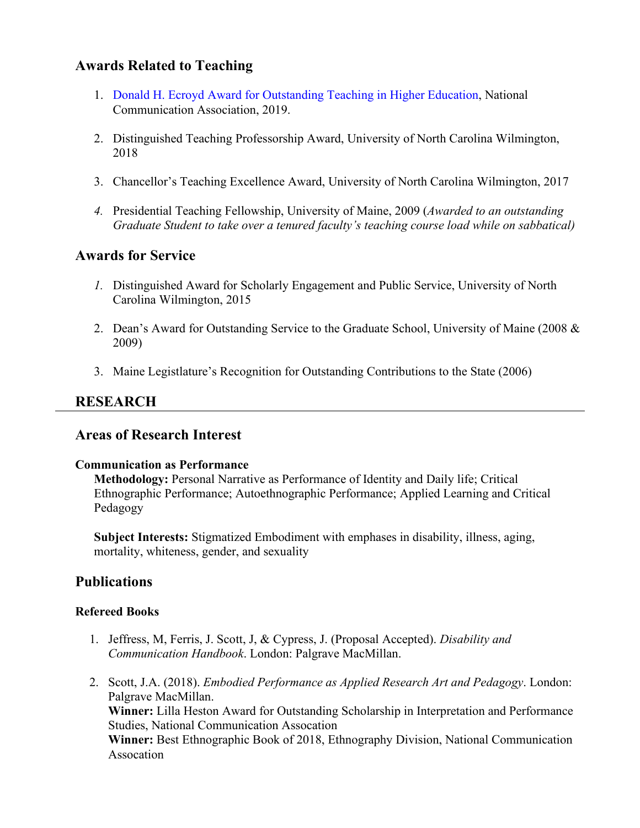# **Awards Related to Teaching**

- 1. [Donald H. Ecroyd Award for Outstanding Teaching in Higher Education,](https://uncw.edu/news/2020/09/professor-julie-ann-scott-pollock-wins-prestigious-national-communication-association-award.html) National Communication Association, 2019.
- 2. Distinguished Teaching Professorship Award, University of North Carolina Wilmington, 2018
- 3. Chancellor's Teaching Excellence Award, University of North Carolina Wilmington, 2017
- *4.* Presidential Teaching Fellowship, University of Maine, 2009 (*Awarded to an outstanding Graduate Student to take over a tenured faculty's teaching course load while on sabbatical)*

# **Awards for Service**

- *1.* Distinguished Award for Scholarly Engagement and Public Service, University of North Carolina Wilmington, 2015
- 2. Dean's Award for Outstanding Service to the Graduate School, University of Maine (2008 & 2009)
- 3. Maine Legistlature's Recognition for Outstanding Contributions to the State (2006)

# **RESEARCH**

### **Areas of Research Interest**

#### **Communication as Performance**

**Methodology:** Personal Narrative as Performance of Identity and Daily life; Critical Ethnographic Performance; Autoethnographic Performance; Applied Learning and Critical Pedagogy

**Subject Interests:** Stigmatized Embodiment with emphases in disability, illness, aging, mortality, whiteness, gender, and sexuality

# **Publications**

### **Refereed Books**

- 1. Jeffress, M, Ferris, J. Scott, J, & Cypress, J. (Proposal Accepted). *Disability and Communication Handbook*. London: Palgrave MacMillan.
- 2. Scott, J.A. (2018). *Embodied Performance as Applied Research Art and Pedagogy*. London: Palgrave MacMillan. **Winner:** Lilla Heston Award for Outstanding Scholarship in Interpretation and Performance Studies, National Communication Assocation **Winner:** Best Ethnographic Book of 2018, Ethnography Division, National Communication Assocation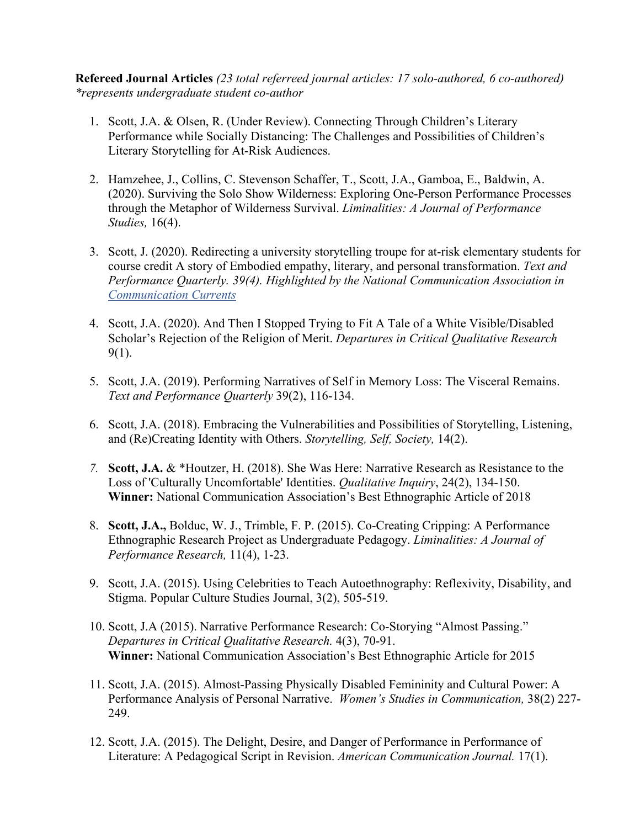**Refereed Journal Articles** *(23 total referreed journal articles: 17 solo-authored, 6 co-authored) \*represents undergraduate student co-author*

- 1. Scott, J.A. & Olsen, R. (Under Review). Connecting Through Children's Literary Performance while Socially Distancing: The Challenges and Possibilities of Children's Literary Storytelling for At-Risk Audiences.
- 2. Hamzehee, J., Collins, C. Stevenson Schaffer, T., Scott, J.A., Gamboa, E., Baldwin, A. (2020). Surviving the Solo Show Wilderness: Exploring One-Person Performance Processes through the Metaphor of Wilderness Survival. *Liminalities: A Journal of Performance Studies,* 16(4).
- 3. Scott, J. (2020). Redirecting a university storytelling troupe for at-risk elementary students for course credit A story of Embodied empathy, literary, and personal transformation. *Text and Performance Quarterly. 39(4). Highlighted by the National Communication Association in [Communication Currents](https://www.natcom.org/communication-currents/how-undergraduate-and-elementary-students-learn-through-performance)*
- 4. Scott, J.A. (2020). And Then I Stopped Trying to Fit A Tale of a White Visible/Disabled Scholar's Rejection of the Religion of Merit. *Departures in Critical Qualitative Research*  9(1).
- 5. Scott, J.A. (2019). Performing Narratives of Self in Memory Loss: The Visceral Remains. *Text and Performance Quarterly* 39(2), 116-134.
- 6. Scott, J.A. (2018). Embracing the Vulnerabilities and Possibilities of Storytelling, Listening, and (Re)Creating Identity with Others. *Storytelling, Self, Society,* 14(2).
- *7.* **Scott, J.A.** & \*Houtzer, H. (2018). She Was Here: Narrative Research as Resistance to the Loss of 'Culturally Uncomfortable' Identities. *Qualitative Inquiry*, 24(2), 134-150. **Winner:** National Communication Association's Best Ethnographic Article of 2018
- 8. **Scott, J.A.,** Bolduc, W. J., Trimble, F. P. (2015). Co-Creating Cripping: A Performance Ethnographic Research Project as Undergraduate Pedagogy. *Liminalities: A Journal of Performance Research,* 11(4), 1-23.
- 9. Scott, J.A. (2015). Using Celebrities to Teach Autoethnography: Reflexivity, Disability, and Stigma. Popular Culture Studies Journal, 3(2), 505-519.
- 10. Scott, J.A (2015). Narrative Performance Research: Co-Storying "Almost Passing." *Departures in Critical Qualitative Research.* 4(3), 70-91. **Winner:** National Communication Association's Best Ethnographic Article for 2015
- 11. Scott, J.A. (2015). Almost-Passing Physically Disabled Femininity and Cultural Power: A Performance Analysis of Personal Narrative. *Women's Studies in Communication,* 38(2) 227- 249.
- 12. Scott, J.A. (2015). The Delight, Desire, and Danger of Performance in Performance of Literature: A Pedagogical Script in Revision. *American Communication Journal.* 17(1).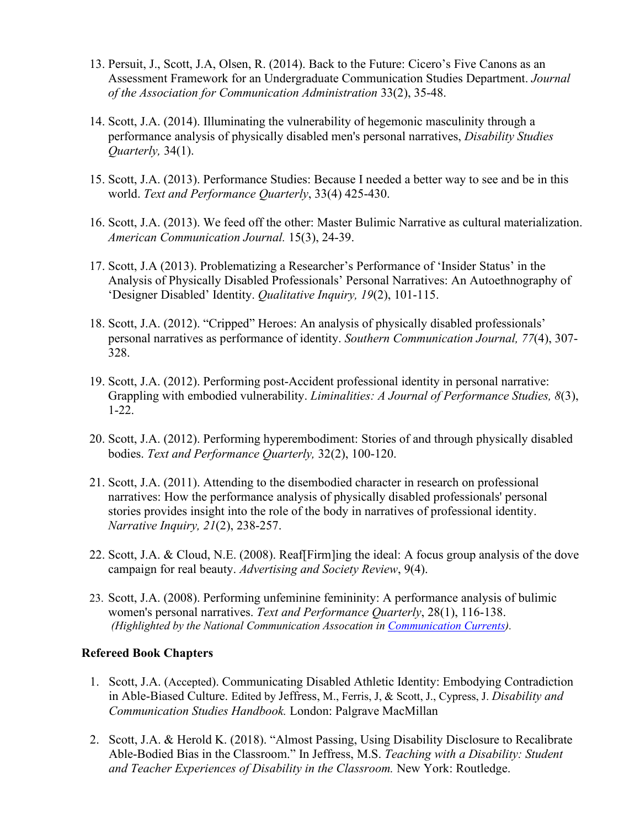- 13. Persuit, J., Scott, J.A, Olsen, R. (2014). Back to the Future: Cicero's Five Canons as an Assessment Framework for an Undergraduate Communication Studies Department. *Journal of the Association for Communication Administration* 33(2), 35-48.
- 14. Scott, J.A. (2014). Illuminating the vulnerability of hegemonic masculinity through a performance analysis of physically disabled men's personal narratives, *Disability Studies Quarterly,* 34(1).
- 15. Scott, J.A. (2013). Performance Studies: Because I needed a better way to see and be in this world. *Text and Performance Quarterly*, 33(4) 425-430.
- 16. Scott, J.A. (2013). We feed off the other: Master Bulimic Narrative as cultural materialization. *American Communication Journal.* 15(3), 24-39.
- 17. Scott, J.A (2013). Problematizing a Researcher's Performance of 'Insider Status' in the Analysis of Physically Disabled Professionals' Personal Narratives: An Autoethnography of 'Designer Disabled' Identity. *Qualitative Inquiry, 19*(2), 101-115.
- 18. Scott, J.A. (2012). "Cripped" Heroes: An analysis of physically disabled professionals' personal narratives as performance of identity. *Southern Communication Journal, 77*(4), 307- 328.
- 19. Scott, J.A. (2012). Performing post-Accident professional identity in personal narrative: Grappling with embodied vulnerability. *Liminalities: A Journal of Performance Studies, 8*(3), 1-22.
- 20. Scott, J.A. (2012). Performing hyperembodiment: Stories of and through physically disabled bodies. *Text and Performance Quarterly,* 32(2), 100-120.
- 21. Scott, J.A. (2011). Attending to the disembodied character in research on professional narratives: How the performance analysis of physically disabled professionals' personal stories provides insight into the role of the body in narratives of professional identity. *Narrative Inquiry, 21*(2), 238-257.
- 22. Scott, J.A. & Cloud, N.E. (2008). Reaf[Firm]ing the ideal: A focus group analysis of the dove campaign for real beauty. *Advertising and Society Review*, 9(4).
- 23. Scott, J.A. (2008). Performing unfeminine femininity: A performance analysis of bulimic women's personal narratives. *Text and Performance Quarterly*, 28(1), 116-138. *(Highlighted by the National Communication Assocation in [Communication Currents\)](https://www.natcom.org/communication-currents/stories-bulimia-describing-normal-abnormality).*

#### **Refereed Book Chapters**

- 1. Scott, J.A. (Accepted). Communicating Disabled Athletic Identity: Embodying Contradiction in Able-Biased Culture. Edited by Jeffress, M., Ferris, J, & Scott, J., Cypress, J. *Disability and Communication Studies Handbook.* London: Palgrave MacMillan
- 2. Scott, J.A. & Herold K. (2018). "Almost Passing, Using Disability Disclosure to Recalibrate Able-Bodied Bias in the Classroom." In Jeffress, M.S. *Teaching with a Disability: Student and Teacher Experiences of Disability in the Classroom.* New York: Routledge.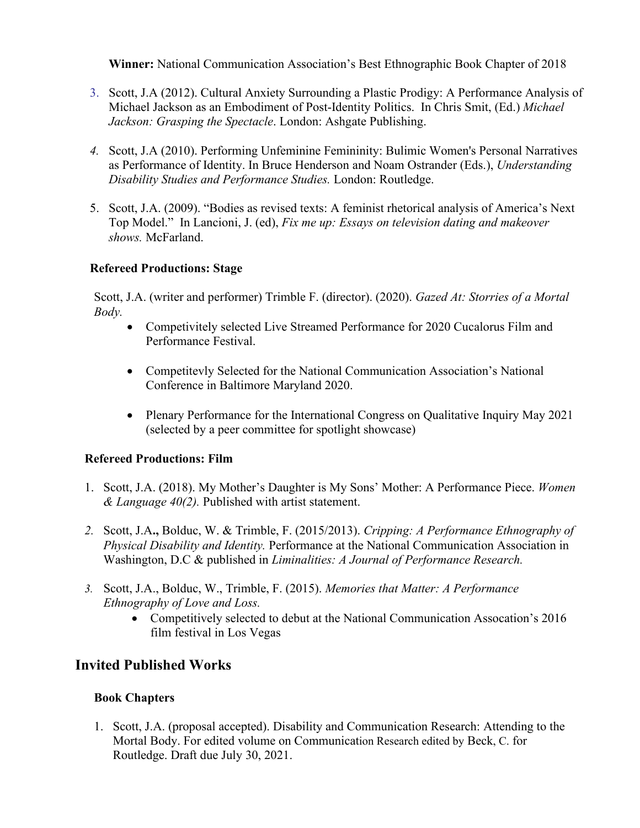**Winner:** National Communication Association's Best Ethnographic Book Chapter of 2018

- 3. Scott, J.A (2012). Cultural Anxiety Surrounding a Plastic Prodigy: A Performance Analysis of Michael Jackson as an Embodiment of Post-Identity Politics. In Chris Smit, (Ed.) *Michael Jackson: Grasping the Spectacle*. London: Ashgate Publishing.
- *4.* Scott, J.A (2010). Performing Unfeminine Femininity: Bulimic Women's Personal Narratives as Performance of Identity. In Bruce Henderson and Noam Ostrander (Eds.), *Understanding Disability Studies and Performance Studies.* London: Routledge.
- 5. Scott, J.A. (2009). "Bodies as revised texts: A feminist rhetorical analysis of America's Next Top Model." In Lancioni, J. (ed), *Fix me up: Essays on television dating and makeover shows.* McFarland.

### **Refereed Productions: Stage**

Scott, J.A. (writer and performer) Trimble F. (director). (2020). *Gazed At: Storries of a Mortal Body.* 

- Competivitely selected Live Streamed Performance for 2020 Cucalorus Film and Performance Festival.
- Competitevly Selected for the National Communication Association's National Conference in Baltimore Maryland 2020.
- Plenary Performance for the International Congress on Qualitative Inquiry May 2021 (selected by a peer committee for spotlight showcase)

#### **Refereed Productions: Film**

- 1. Scott, J.A. (2018). My Mother's Daughter is My Sons' Mother: A Performance Piece. *Women & Language 40(2).* Published with artist statement.
- *2.* Scott, J.A**.,** Bolduc, W. & Trimble, F. (2015/2013). *Cripping: A Performance Ethnography of Physical Disability and Identity.* Performance at the National Communication Association in Washington, D.C & published in *Liminalities: A Journal of Performance Research.*
- *3.* Scott, J.A., Bolduc, W., Trimble, F. (2015). *Memories that Matter: A Performance Ethnography of Love and Loss.* 
	- Competitively selected to debut at the National Communication Assocation's 2016 film festival in Los Vegas

# **Invited Published Works**

### **Book Chapters**

1. Scott, J.A. (proposal accepted). Disability and Communication Research: Attending to the Mortal Body. For edited volume on Communication Research edited by Beck, C. for Routledge. Draft due July 30, 2021.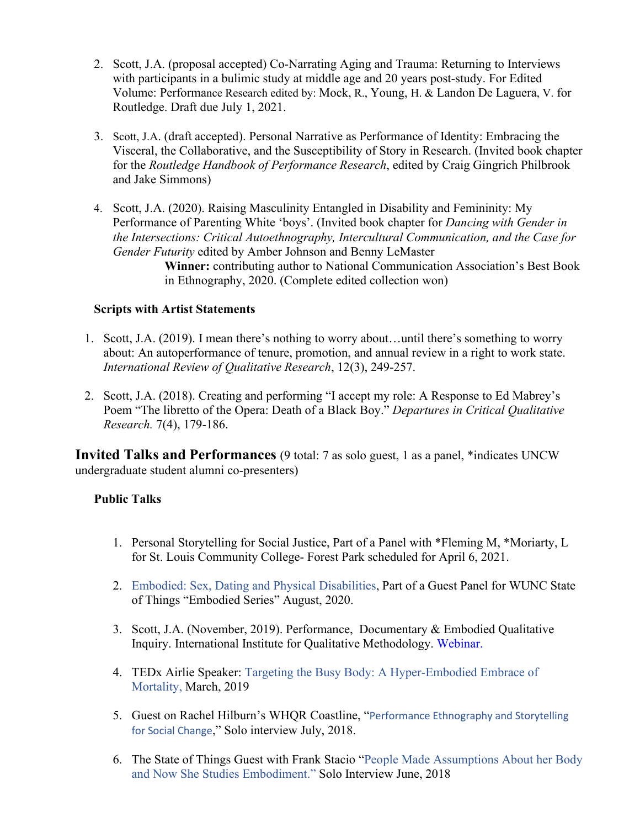- 2. Scott, J.A. (proposal accepted) Co-Narrating Aging and Trauma: Returning to Interviews with participants in a bulimic study at middle age and 20 years post-study. For Edited Volume: Performance Research edited by: Mock, R., Young, H. & Landon De Laguera, V. for Routledge. Draft due July 1, 2021.
- 3. Scott, J.A. (draft accepted). Personal Narrative as Performance of Identity: Embracing the Visceral, the Collaborative, and the Susceptibility of Story in Research. (Invited book chapter for the *Routledge Handbook of Performance Research*, edited by Craig Gingrich Philbrook and Jake Simmons)
- 4. Scott, J.A. (2020). Raising Masculinity Entangled in Disability and Femininity: My Performance of Parenting White 'boys'. (Invited book chapter for *Dancing with Gender in the Intersections: Critical Autoethnography, Intercultural Communication, and the Case for Gender Futurity* edited by Amber Johnson and Benny LeMaster

**Winner:** contributing author to National Communication Association's Best Book in Ethnography, 2020. (Complete edited collection won)

### **Scripts with Artist Statements**

- 1. Scott, J.A. (2019). I mean there's nothing to worry about…until there's something to worry about: An autoperformance of tenure, promotion, and annual review in a right to work state. *International Review of Qualitative Research*, 12(3), 249-257.
- 2. Scott, J.A. (2018). Creating and performing "I accept my role: A Response to Ed Mabrey's Poem "The libretto of the Opera: Death of a Black Boy." *Departures in Critical Qualitative Research.* 7(4), 179-186.

**Invited Talks and Performances** (9 total: 7 as solo guest, 1 as a panel, \*indicates UNCW undergraduate student alumni co-presenters)

### **Public Talks**

- 1. Personal Storytelling for Social Justice, Part of a Panel with \*Fleming M, \*Moriarty, L for St. Louis Community College- Forest Park scheduled for April 6, 2021.
- 2. [Embodied: Sex, Dating and Physical Disabilities, Part of a Guest Panel for WUNC State](https://www.wunc.org/post/embodied-sex-and-dating-physical-disabilities)  [of Things "Embodied Series" August, 2020.](https://www.wunc.org/post/embodied-sex-and-dating-physical-disabilities)
- 3. Scott, J.A. (November, 2019). Performance, Documentary & Embodied Qualitative Inquiry. International Institute for Qualitative Methodology. [Webinar.](https://www.youtube.com/watch?v=7Flkf-D1gvI)
- 4. TEDx Airlie Speaker: [Targeting the Busy Body: A Hyper-Embodied Embrace of](https://www.ted.com/talks/julie_ann_scott_pollock_targeting_the_busy_body_a_hyper_embodied_embrace_of_mortality)  [Mortality,](https://www.ted.com/talks/julie_ann_scott_pollock_targeting_the_busy_body_a_hyper_embodied_embrace_of_mortality) March, 2019
- 5. Guest on Rachel Hilburn's WHQR Coastline, "[Performance Ethnography and Storytelling](https://www.whqr.org/term/julie-ann-scott-pollock#stream/0)  [for Social Change](https://www.whqr.org/term/julie-ann-scott-pollock#stream/0)," Solo interview July, 2018.
- 6. The State of Things Guest with Frank Stacio ["People Made Assumptions About her Body](https://www.wunc.org/post/people-made-assumptions-about-her-body-now-she-studies-embodiment-meet-julie-ann-scott-pollock)  [and Now She Studies Embodiment.](https://www.wunc.org/post/people-made-assumptions-about-her-body-now-she-studies-embodiment-meet-julie-ann-scott-pollock)" Solo Interview June, 2018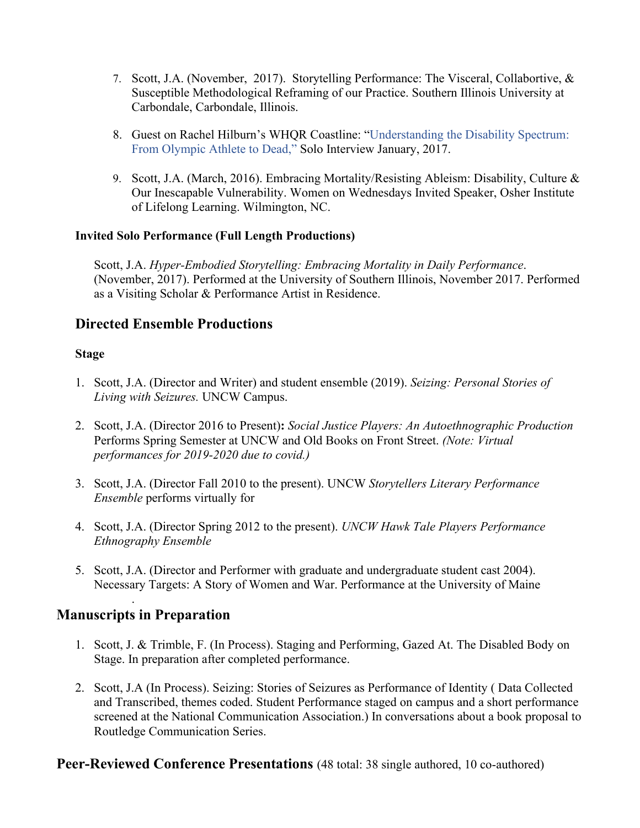- 7. Scott, J.A. (November, 2017). Storytelling Performance: The Visceral, Collabortive, & Susceptible Methodological Reframing of our Practice. Southern Illinois University at Carbondale, Carbondale, Illinois.
- 8. Guest on Rachel Hilburn's WHQR Coastline: ["Understanding the Disability Spectrum:](https://www.whqr.org/post/coastline-ability-spectrum-olympic-athlete-death#stream/0)  [From Olympic Athlete to Dead,](https://www.whqr.org/post/coastline-ability-spectrum-olympic-athlete-death#stream/0)" Solo Interview January, 2017.
- 9. Scott, J.A. (March, 2016). Embracing Mortality/Resisting Ableism: Disability, Culture & Our Inescapable Vulnerability. Women on Wednesdays Invited Speaker, Osher Institute of Lifelong Learning. Wilmington, NC.

## **Invited Solo Performance (Full Length Productions)**

Scott, J.A. *Hyper-Embodied Storytelling: Embracing Mortality in Daily Performance*. (November, 2017). Performed at the University of Southern Illinois, November 2017. Performed as a Visiting Scholar & Performance Artist in Residence.

# **Directed Ensemble Productions**

### **Stage**

- 1. Scott, J.A. (Director and Writer) and student ensemble (2019). *Seizing: Personal Stories of Living with Seizures.* UNCW Campus.
- 2. Scott, J.A. (Director 2016 to Present)**:** *Social Justice Players: An Autoethnographic Production*  Performs Spring Semester at UNCW and Old Books on Front Street. *(Note: Virtual performances for 2019-2020 due to covid.)*
- 3. Scott, J.A. (Director Fall 2010 to the present). UNCW *Storytellers Literary Performance Ensemble* performs virtually for
- 4. Scott, J.A. (Director Spring 2012 to the present). *UNCW Hawk Tale Players Performance Ethnography Ensemble*
- 5. Scott, J.A. (Director and Performer with graduate and undergraduate student cast 2004). Necessary Targets: A Story of Women and War. Performance at the University of Maine

# **Manuscripts in Preparation**

.

- 1. Scott, J. & Trimble, F. (In Process). Staging and Performing, Gazed At. The Disabled Body on Stage. In preparation after completed performance.
- 2. Scott, J.A (In Process). Seizing: Stories of Seizures as Performance of Identity ( Data Collected and Transcribed, themes coded. Student Performance staged on campus and a short performance screened at the National Communication Association.) In conversations about a book proposal to Routledge Communication Series.

# **Peer-Reviewed Conference Presentations** (48 total: 38 single authored, 10 co-authored)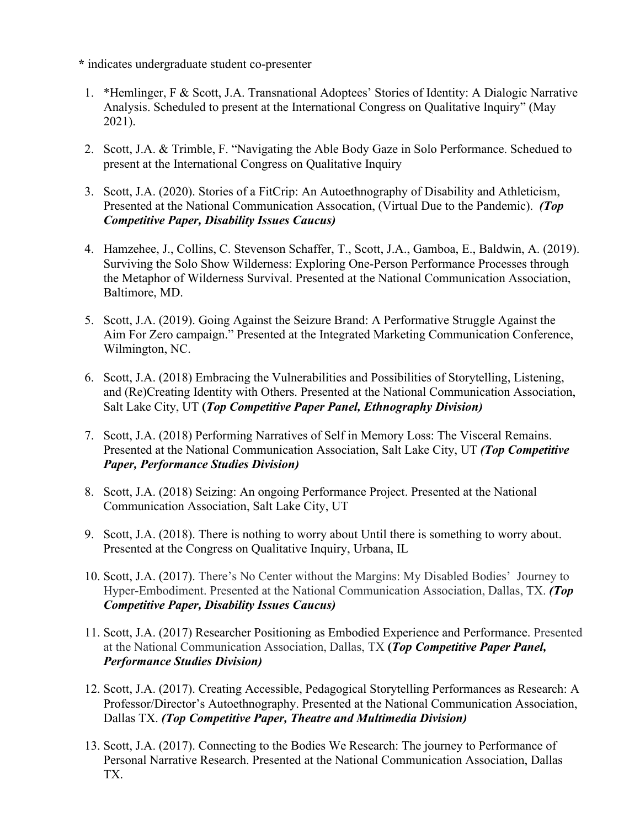**\*** indicates undergraduate student co-presenter

- 1. \*Hemlinger, F & Scott, J.A. Transnational Adoptees' Stories of Identity: A Dialogic Narrative Analysis. Scheduled to present at the International Congress on Qualitative Inquiry" (May 2021).
- 2. Scott, J.A. & Trimble, F. "Navigating the Able Body Gaze in Solo Performance. Schedued to present at the International Congress on Qualitative Inquiry
- 3. Scott, J.A. (2020). Stories of a FitCrip: An Autoethnography of Disability and Athleticism, Presented at the National Communication Assocation, (Virtual Due to the Pandemic). *(Top Competitive Paper, Disability Issues Caucus)*
- 4. Hamzehee, J., Collins, C. Stevenson Schaffer, T., Scott, J.A., Gamboa, E., Baldwin, A. (2019). Surviving the Solo Show Wilderness: Exploring One-Person Performance Processes through the Metaphor of Wilderness Survival. Presented at the National Communication Association, Baltimore, MD.
- 5. Scott, J.A. (2019). Going Against the Seizure Brand: A Performative Struggle Against the Aim For Zero campaign." Presented at the Integrated Marketing Communication Conference, Wilmington, NC.
- 6. Scott, J.A. (2018) Embracing the Vulnerabilities and Possibilities of Storytelling, Listening, and (Re)Creating Identity with Others. Presented at the National Communication Association, Salt Lake City, UT **(***Top Competitive Paper Panel, Ethnography Division)*
- 7. Scott, J.A. (2018) Performing Narratives of Self in Memory Loss: The Visceral Remains. Presented at the National Communication Association, Salt Lake City, UT *(Top Competitive Paper, Performance Studies Division)*
- 8. Scott, J.A. (2018) Seizing: An ongoing Performance Project. Presented at the National Communication Association, Salt Lake City, UT
- 9. Scott, J.A. (2018). There is nothing to worry about Until there is something to worry about. Presented at the Congress on Qualitative Inquiry, Urbana, IL
- 10. Scott, J.A. (2017). There's No Center without the Margins: My Disabled Bodies' Journey to Hyper-Embodiment. Presented at the National Communication Association, Dallas, TX. *(Top Competitive Paper, Disability Issues Caucus)*
- 11. Scott, J.A. (2017) Researcher Positioning as Embodied Experience and Performance. Presented at the National Communication Association, Dallas, TX **(***Top Competitive Paper Panel, Performance Studies Division)*
- 12. Scott, J.A. (2017). Creating Accessible, Pedagogical Storytelling Performances as Research: A Professor/Director's Autoethnography. Presented at the National Communication Association, Dallas TX. *(Top Competitive Paper, Theatre and Multimedia Division)*
- 13. Scott, J.A. (2017). Connecting to the Bodies We Research: The journey to Performance of Personal Narrative Research. Presented at the National Communication Association, Dallas TX.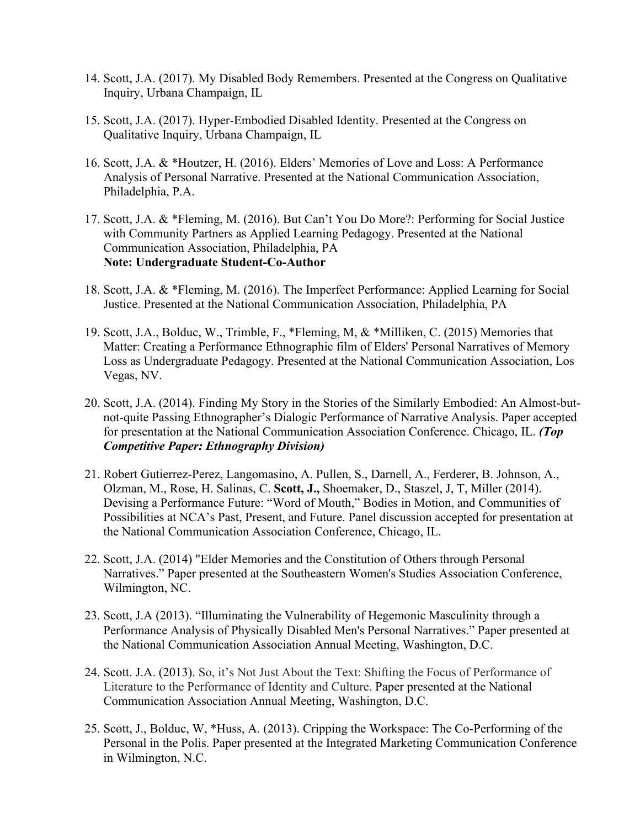- 14. Scott, J.A. (2017). My Disabled Body Remembers. Presented at the Congress on Qualitative Inquiry, Urbana Champaign, IL
- 15. Scott, J.A. (2017). Hyper-Embodied Disabled Identity. Presented at the Congress on Qualitative Inquiry, Urbana Champaign, IL
- 16. Scott, J.A. & \*Houtzer, H. (2016). Elders' Memories of Love and Loss: A Performance Analysis of Personal Narrative. Presented at the National Communication Association, Philadelphia, P.A.
- 17. Scott, J.A. & \*Fleming, M. (2016). But Can't You Do More?: Performing for Social Justice with Community Partners as Applied Learning Pedagogy. Presented at the National Communication Association, Philadelphia, PA **Note: Undergraduate Student-Co-Author**
- 18. Scott, J.A. & \*Fleming, M. (2016). The Imperfect Performance: Applied Learning for Social Justice. Presented at the National Communication Association, Philadelphia, PA
- 19. Scott, J.A., Bolduc, W., Trimble, F., \*Fleming, M, & \*Milliken, C. (2015) Memories that Matter: Creating a Performance Ethnographic film of Elders' Personal Narratives of Memory Loss as Undergraduate Pedagogy. Presented at the National Communication Association, Los Vegas, NV.
- 20. Scott, J.A. (2014). Finding My Story in the Stories of the Similarly Embodied: An Almost-butnot-quite Passing Ethnographer's Dialogic Performance of Narrative Analysis. Paper accepted for presentation at the National Communication Association Conference. Chicago, IL. *(Top Competitive Paper: Ethnography Division)*
- 21. Robert Gutierrez-Perez, Langomasino, A. Pullen, S., Darnell, A., Ferderer, B. Johnson, A., Olzman, M., Rose, H. Salinas, C. **Scott, J.,** Shoemaker, D., Staszel, J, T, Miller (2014). Devising a Performance Future: "Word of Mouth," Bodies in Motion, and Communities of Possibilities at NCA's Past, Present, and Future. Panel discussion accepted for presentation at the National Communication Association Conference, Chicago, IL.
- 22. Scott, J.A. (2014) "Elder Memories and the Constitution of Others through Personal Narratives." Paper presented at the Southeastern Women's Studies Association Conference, Wilmington, NC.
- 23. Scott, J.A (2013). "Illuminating the Vulnerability of Hegemonic Masculinity through a Performance Analysis of Physically Disabled Men's Personal Narratives." Paper presented at the National Communication Association Annual Meeting, Washington, D.C.
- 24. Scott. J.A. (2013). So, it's Not Just About the Text: Shifting the Focus of Performance of Literature to the Performance of Identity and Culture. Paper presented at the National Communication Association Annual Meeting, Washington, D.C.
- 25. Scott, J., Bolduc, W, \*Huss, A. (2013). Cripping the Workspace: The Co-Performing of the Personal in the Polis. Paper presented at the Integrated Marketing Communication Conference in Wilmington, N.C.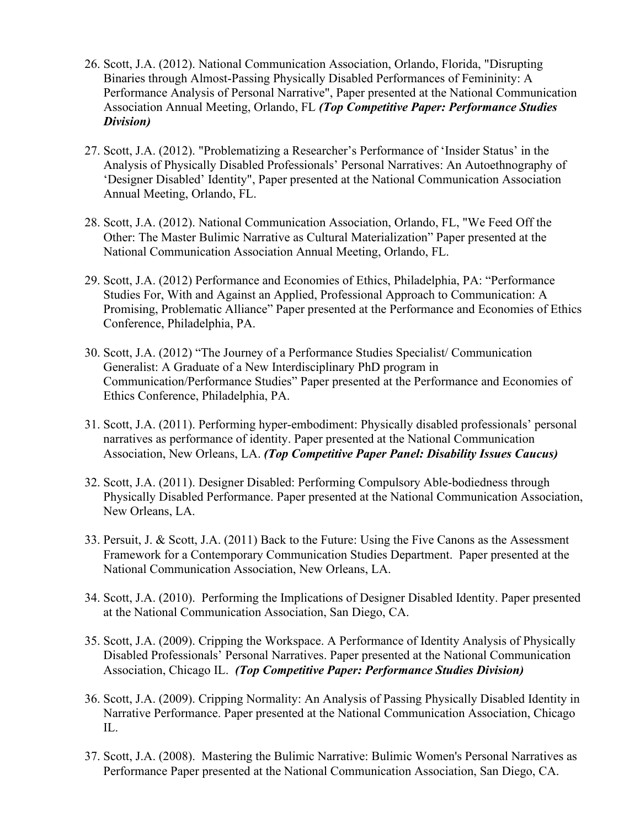- 26. Scott, J.A. (2012). National Communication Association, Orlando, Florida, "Disrupting Binaries through Almost-Passing Physically Disabled Performances of Femininity: A Performance Analysis of Personal Narrative", Paper presented at the National Communication Association Annual Meeting, Orlando, FL *(Top Competitive Paper: Performance Studies Division)*
- 27. Scott, J.A. (2012). "Problematizing a Researcher's Performance of 'Insider Status' in the Analysis of Physically Disabled Professionals' Personal Narratives: An Autoethnography of 'Designer Disabled' Identity", Paper presented at the National Communication Association Annual Meeting, Orlando, FL.
- 28. Scott, J.A. (2012). National Communication Association, Orlando, FL, "We Feed Off the Other: The Master Bulimic Narrative as Cultural Materialization" Paper presented at the National Communication Association Annual Meeting, Orlando, FL.
- 29. Scott, J.A. (2012) Performance and Economies of Ethics, Philadelphia, PA: "Performance Studies For, With and Against an Applied, Professional Approach to Communication: A Promising, Problematic Alliance" Paper presented at the Performance and Economies of Ethics Conference, Philadelphia, PA.
- 30. Scott, J.A. (2012) "The Journey of a Performance Studies Specialist/ Communication Generalist: A Graduate of a New Interdisciplinary PhD program in Communication/Performance Studies" Paper presented at the Performance and Economies of Ethics Conference, Philadelphia, PA.
- 31. Scott, J.A. (2011). Performing hyper-embodiment: Physically disabled professionals' personal narratives as performance of identity. Paper presented at the National Communication Association, New Orleans, LA. *(Top Competitive Paper Panel: Disability Issues Caucus)*
- 32. Scott, J.A. (2011). [Designer Disabled: Performing Compulsory Able-bodiedness through](http://ww4.aievolution.com/nca1101/index.cfm?do=ev.viewEv&ev=3477)  [Physically Disabled Performance.](http://ww4.aievolution.com/nca1101/index.cfm?do=ev.viewEv&ev=3477) Paper presented at the National Communication Association, New Orleans, LA.
- 33. Persuit, J. & Scott, J.A. (2011) Back to the Future: Using the Five Canons as the Assessment Framework for a Contemporary Communication Studies Department. Paper presented at the National Communication Association, New Orleans, LA.
- 34. Scott, J.A. (2010). Performing the Implications of Designer Disabled Identity. Paper presented at the National Communication Association, San Diego, CA.
- 35. Scott, J.A. (2009). Cripping the Workspace. A Performance of Identity Analysis of Physically Disabled Professionals' Personal Narratives. Paper presented at the National Communication Association, Chicago IL. *(Top Competitive Paper: Performance Studies Division)*
- 36. Scott, J.A. (2009). Cripping Normality: An Analysis of Passing Physically Disabled Identity in Narrative Performance. Paper presented at the National Communication Association, Chicago IL.
- 37. Scott, J.A. (2008). [Mastering the Bulimic Narrative: Bulimic Women's Personal Narratives as](http://convention3.allacademic.com/one/nca/nca08/index.php?click_key=1&cmd=Multi+Search+Search+Load+Publication&publication_id=255182&PHPSESSID=893792e89cf852703f205a22864cd387)  [Performance](http://convention3.allacademic.com/one/nca/nca08/index.php?click_key=1&cmd=Multi+Search+Search+Load+Publication&publication_id=255182&PHPSESSID=893792e89cf852703f205a22864cd387) Paper presented at the National Communication Association, San Diego, CA.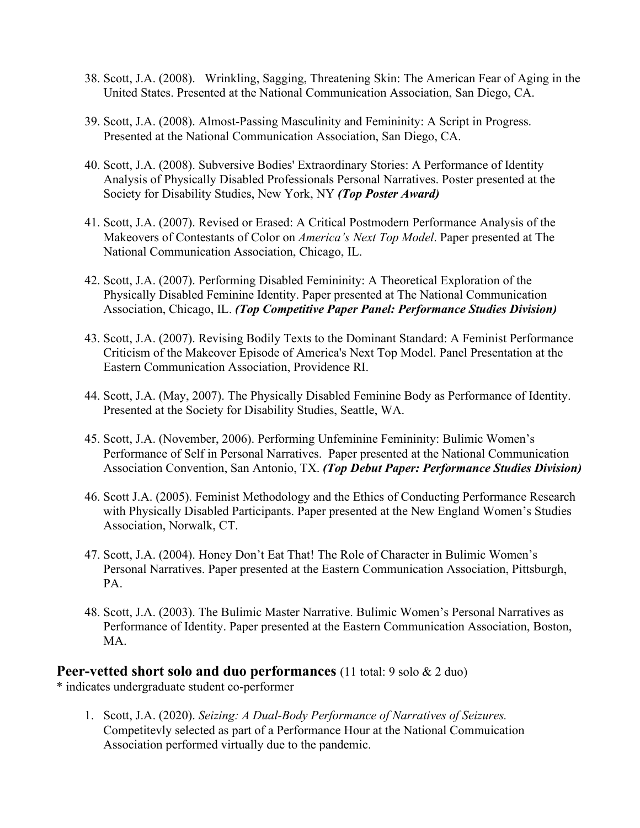- 38. Scott, J.A. (2008). [Wrinkling, Sagging, Threatening Skin: The American Fear of Aging in the](http://convention3.allacademic.com/one/nca/nca08/index.php?click_key=1&cmd=Multi+Search+Search+Load+Publication&publication_id=256360&PHPSESSID=893792e89cf852703f205a22864cd387)  [United States.](http://convention3.allacademic.com/one/nca/nca08/index.php?click_key=1&cmd=Multi+Search+Search+Load+Publication&publication_id=256360&PHPSESSID=893792e89cf852703f205a22864cd387) Presented at the National Communication Association, San Diego, CA.
- 39. Scott, J.A. (2008). Almost-Passing Masculinity and Femininity: A Script in Progress. Presented at the National Communication Association, San Diego, CA.
- 40. Scott, J.A. (2008). Subversive Bodies' Extraordinary Stories: A Performance of Identity Analysis of Physically Disabled Professionals Personal Narratives. Poster presented at the Society for Disability Studies, New York, NY *(Top Poster Award)*
- 41. Scott, J.A. (2007). Revised or Erased: A Critical Postmodern Performance Analysis of the Makeovers of Contestants of Color on *America's Next Top Model*. Paper presented at The National Communication Association, Chicago, IL.
- 42. Scott, J.A. (2007). [Performing Disabled Femininity: A Theoretical Exploration of the](http://64.112.226.77/one/nca/nca07/index.php?click_key=1&cmd=Multi+Search+Search+Load+Publication&publication_id=190919&PHPSESSID=faa32598f3eede408b612f1d6722b649)  [Physically Disabled Feminine Identity.](http://64.112.226.77/one/nca/nca07/index.php?click_key=1&cmd=Multi+Search+Search+Load+Publication&publication_id=190919&PHPSESSID=faa32598f3eede408b612f1d6722b649) Paper presented at The National Communication Association, Chicago, IL. *(Top Competitive Paper Panel: Performance Studies Division)*
- 43. Scott, J.A. (2007). [Revising Bodily Texts to the Dominant Standard: A Feminist Performance](http://64.112.226.77/one/nca/nca07/index.php?click_key=1&cmd=Multi+Search+Search+Load+Publication&publication_id=191038&PHPSESSID=faa32598f3eede408b612f1d6722b649) [Criticism of the Makeover Episode of America's Next Top Model.](http://64.112.226.77/one/nca/nca07/index.php?click_key=1&cmd=Multi+Search+Search+Load+Publication&publication_id=191038&PHPSESSID=faa32598f3eede408b612f1d6722b649) Panel Presentation at the Eastern Communication Association, Providence RI.
- 44. Scott, J.A. (May, 2007). The Physically Disabled Feminine Body as Performance of Identity. Presented at the Society for Disability Studies, Seattle, WA.
- 45. Scott, J.A. (November, 2006). Performing Unfeminine Femininity: Bulimic Women's Performance of Self in Personal Narratives. Paper presented at the National Communication Association Convention, San Antonio, TX. *(Top Debut Paper: Performance Studies Division)*
- 46. Scott J.A. (2005). Feminist Methodology and the Ethics of Conducting Performance Research with Physically Disabled Participants. Paper presented at the New England Women's Studies Association, Norwalk, CT.
- 47. Scott, J.A. (2004). Honey Don't Eat That! The Role of Character in Bulimic Women's Personal Narratives. Paper presented at the Eastern Communication Association, Pittsburgh, PA.
- 48. Scott, J.A. (2003). The Bulimic Master Narrative. Bulimic Women's Personal Narratives as Performance of Identity. Paper presented at the Eastern Communication Association, Boston, MA.

# **Peer-vetted short solo and duo performances** (11 total: 9 solo & 2 duo)

\* indicates undergraduate student co-performer

1. Scott, J.A. (2020). *Seizing: A Dual-Body Performance of Narratives of Seizures.* Competitevly selected as part of a Performance Hour at the National Commuication Association performed virtually due to the pandemic.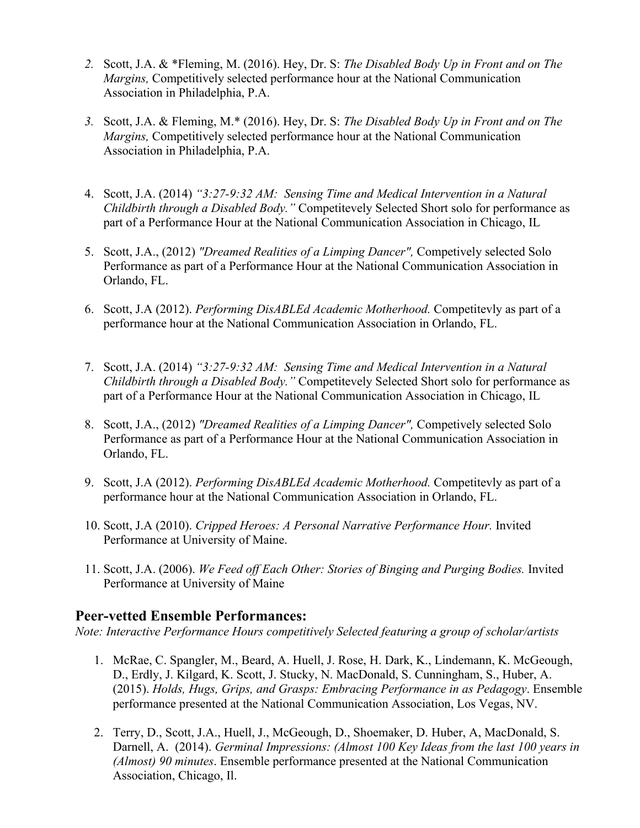- *2.* Scott, J.A. & \*Fleming, M. (2016). Hey, Dr. S: *The Disabled Body Up in Front and on The Margins,* Competitively selected performance hour at the National Communication Association in Philadelphia, P.A.
- *3.* Scott, J.A. & Fleming, M.\* (2016). Hey, Dr. S: *The Disabled Body Up in Front and on The Margins,* Competitively selected performance hour at the National Communication Association in Philadelphia, P.A.
- 4. Scott, J.A. (2014) *"3:27-9:32 AM: Sensing Time and Medical Intervention in a Natural Childbirth through a Disabled Body."* Competitevely Selected Short solo for performance as part of a Performance Hour at the National Communication Association in Chicago, IL
- 5. Scott, J.A., (2012) *"Dreamed Realities of a Limping Dancer",* Competively selected Solo Performance as part of a Performance Hour at the National Communication Association in Orlando, FL.
- 6. Scott, J.A (2012). *Performing DisABLEd Academic Motherhood.* Competitevly as part of a performance hour at the National Communication Association in Orlando, FL.
- 7. Scott, J.A. (2014) *"3:27-9:32 AM: Sensing Time and Medical Intervention in a Natural Childbirth through a Disabled Body."* Competitevely Selected Short solo for performance as part of a Performance Hour at the National Communication Association in Chicago, IL
- 8. Scott, J.A., (2012) *"Dreamed Realities of a Limping Dancer",* Competively selected Solo Performance as part of a Performance Hour at the National Communication Association in Orlando, FL.
- 9. Scott, J.A (2012). *Performing DisABLEd Academic Motherhood.* Competitevly as part of a performance hour at the National Communication Association in Orlando, FL.
- 10. Scott, J.A (2010). *Cripped Heroes: A Personal Narrative Performance Hour.* Invited Performance at University of Maine.
- 11. Scott, J.A. (2006). *We Feed off Each Other: Stories of Binging and Purging Bodies.* Invited Performance at University of Maine

# **Peer-vetted Ensemble Performances:**

*Note: Interactive Performance Hours competitively Selected featuring a group of scholar/artists*

- 1. McRae, C. Spangler, M., Beard, A. Huell, J. Rose, H. Dark, K., Lindemann, K. McGeough, D., Erdly, J. Kilgard, K. Scott, J. Stucky, N. MacDonald, S. Cunningham, S., Huber, A. (2015). *Holds, Hugs, Grips, and Grasps: Embracing Performance in as Pedagogy*. Ensemble performance presented at the National Communication Association, Los Vegas, NV.
- 2. Terry, D., Scott, J.A., Huell, J., McGeough, D., Shoemaker, D. Huber, A, MacDonald, S. Darnell, A. (2014). *Germinal Impressions: (Almost 100 Key Ideas from the last 100 years in (Almost) 90 minutes*. Ensemble performance presented at the National Communication Association, Chicago, Il.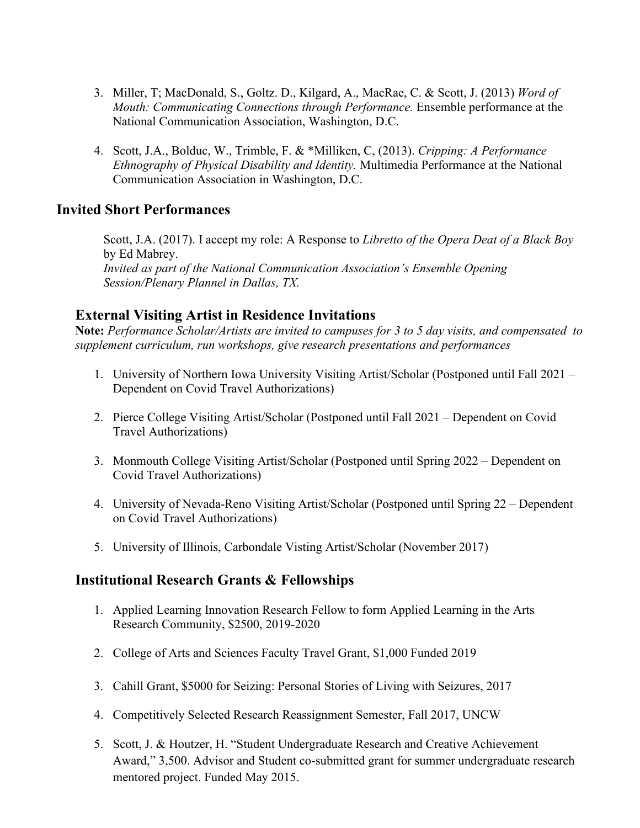- 3. Miller, T; MacDonald, S., Goltz. D., Kilgard, A., MacRae, C. & Scott, J. (2013) *Word of Mouth: Communicating Connections through Performance.* Ensemble performance at the National Communication Association, Washington, D.C.
- 4. Scott, J.A., Bolduc, W., Trimble, F. & \*Milliken, C, (2013). *Cripping: A Performance Ethnography of Physical Disability and Identity.* Multimedia Performance at the National Communication Association in Washington, D.C.

# **Invited Short Performances**

Scott, J.A. (2017). I accept my role: A Response to *Libretto of the Opera Deat of a Black Boy*  by Ed Mabrey. *Invited as part of the National Communication Association's Ensemble Opening Session/Plenary Plannel in Dallas, TX.*

# **External Visiting Artist in Residence Invitations**

**Note:** *Performance Scholar/Artists are invited to campuses for 3 to 5 day visits, and compensated to supplement curriculum, run workshops, give research presentations and performances*

- 1. University of Northern Iowa University Visiting Artist/Scholar (Postponed until Fall 2021 Dependent on Covid Travel Authorizations)
- 2. Pierce College Visiting Artist/Scholar (Postponed until Fall 2021 Dependent on Covid Travel Authorizations)
- 3. Monmouth College Visiting Artist/Scholar (Postponed until Spring 2022 Dependent on Covid Travel Authorizations)
- 4. University of Nevada-Reno Visiting Artist/Scholar (Postponed until Spring 22 Dependent on Covid Travel Authorizations)
- 5. University of Illinois, Carbondale Visting Artist/Scholar (November 2017)

# **Institutional Research Grants & Fellowships**

- 1. Applied Learning Innovation Research Fellow to form Applied Learning in the Arts Research Community, \$2500, 2019-2020
- 2. College of Arts and Sciences Faculty Travel Grant, \$1,000 Funded 2019
- 3. Cahill Grant, \$5000 for Seizing: Personal Stories of Living with Seizures, 2017
- 4. Competitively Selected Research Reassignment Semester, Fall 2017, UNCW
- 5. Scott, J. & Houtzer, H. "Student Undergraduate Research and Creative Achievement Award," 3,500. Advisor and Student co-submitted grant for summer undergraduate research mentored project. Funded May 2015.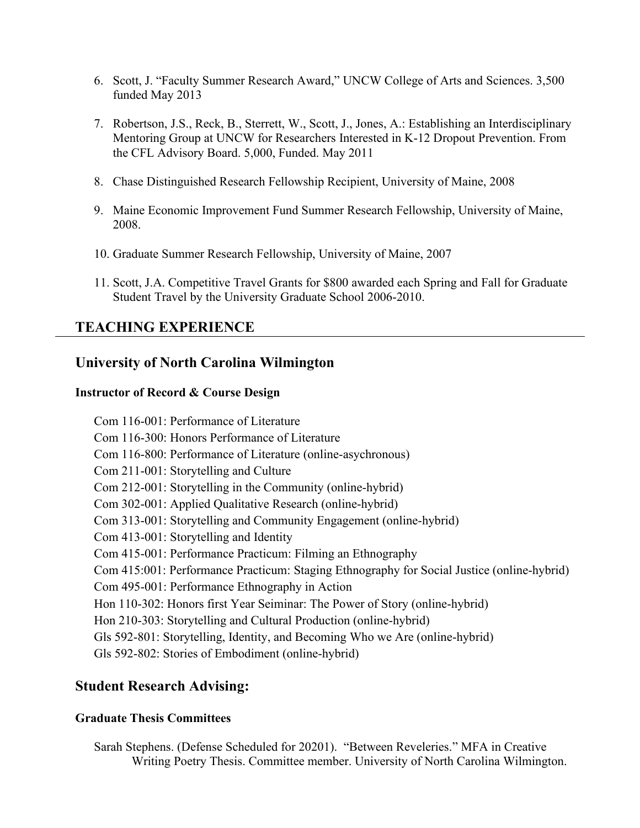- 6. Scott, J. "Faculty Summer Research Award," UNCW College of Arts and Sciences. 3,500 funded May 2013
- 7. Robertson, J.S., Reck, B., Sterrett, W., Scott, J., Jones, A.: Establishing an Interdisciplinary Mentoring Group at UNCW for Researchers Interested in K-12 Dropout Prevention. From the CFL Advisory Board. 5,000, Funded. May 2011
- 8. Chase Distinguished Research Fellowship Recipient, University of Maine, 2008
- 9. Maine Economic Improvement Fund Summer Research Fellowship, University of Maine, 2008.
- 10. Graduate Summer Research Fellowship, University of Maine, 2007
- 11. Scott, J.A. Competitive Travel Grants for \$800 awarded each Spring and Fall for Graduate Student Travel by the University Graduate School 2006-2010.

# **TEACHING EXPERIENCE**

# **University of North Carolina Wilmington**

### **Instructor of Record & Course Design**

Com 116-001: Performance of Literature Com 116-300: Honors Performance of Literature Com 116-800: Performance of Literature (online-asychronous) Com 211-001: Storytelling and Culture Com 212-001: Storytelling in the Community (online-hybrid) Com 302-001: Applied Qualitative Research (online-hybrid) Com 313-001: Storytelling and Community Engagement (online-hybrid) Com 413-001: Storytelling and Identity Com 415-001: Performance Practicum: Filming an Ethnography Com 415:001: Performance Practicum: Staging Ethnography for Social Justice (online-hybrid) Com 495-001: Performance Ethnography in Action Hon 110-302: Honors first Year Seiminar: The Power of Story (online-hybrid) Hon 210-303: Storytelling and Cultural Production (online-hybrid) Gls 592-801: Storytelling, Identity, and Becoming Who we Are (online-hybrid) Gls 592-802: Stories of Embodiment (online-hybrid)

# **Student Research Advising:**

### **Graduate Thesis Committees**

Sarah Stephens. (Defense Scheduled for 20201). "Between Reveleries." MFA in Creative Writing Poetry Thesis. Committee member. University of North Carolina Wilmington.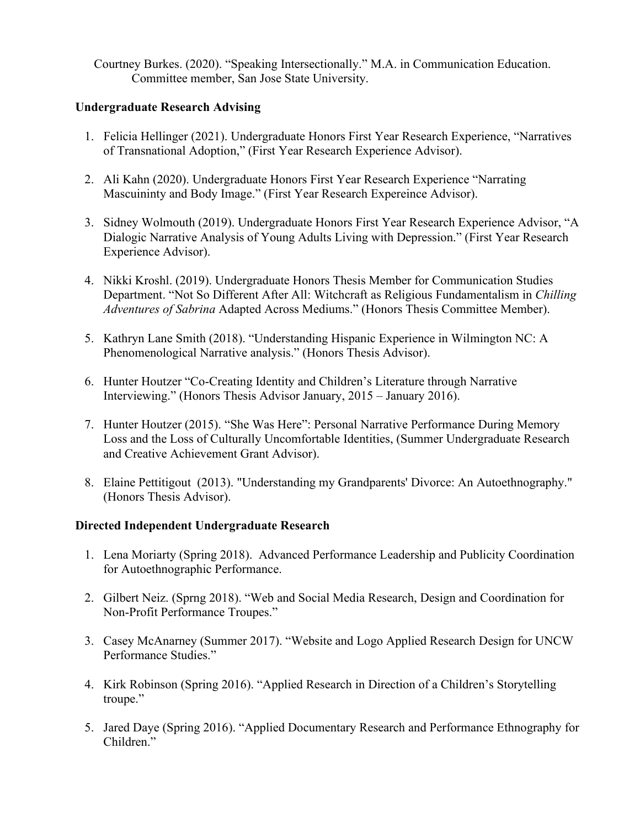Courtney Burkes. (2020). "Speaking Intersectionally." M.A. in Communication Education. Committee member, San Jose State University.

### **Undergraduate Research Advising**

- 1. Felicia Hellinger (2021). Undergraduate Honors First Year Research Experience, "Narratives of Transnational Adoption," (First Year Research Experience Advisor).
- 2. Ali Kahn (2020). Undergraduate Honors First Year Research Experience "Narrating Mascuininty and Body Image." (First Year Research Expereince Advisor).
- 3. Sidney Wolmouth (2019). Undergraduate Honors First Year Research Experience Advisor, "A Dialogic Narrative Analysis of Young Adults Living with Depression." (First Year Research Experience Advisor).
- 4. Nikki Kroshl. (2019). Undergraduate Honors Thesis Member for Communication Studies Department. "Not So Different After All: Witchcraft as Religious Fundamentalism in *Chilling Adventures of Sabrina* Adapted Across Mediums." (Honors Thesis Committee Member).
- 5. Kathryn Lane Smith (2018). "Understanding Hispanic Experience in Wilmington NC: A Phenomenological Narrative analysis." (Honors Thesis Advisor).
- 6. Hunter Houtzer "Co-Creating Identity and Children's Literature through Narrative Interviewing." (Honors Thesis Advisor January, 2015 – January 2016).
- 7. Hunter Houtzer (2015). "She Was Here": Personal Narrative Performance During Memory Loss and the Loss of Culturally Uncomfortable Identities, (Summer Undergraduate Research and Creative Achievement Grant Advisor).
- 8. Elaine Pettitigout (2013). "Understanding my Grandparents' Divorce: An Autoethnography." (Honors Thesis Advisor).

### **Directed Independent Undergraduate Research**

- 1. Lena Moriarty (Spring 2018). Advanced Performance Leadership and Publicity Coordination for Autoethnographic Performance.
- 2. Gilbert Neiz. (Sprng 2018). "Web and Social Media Research, Design and Coordination for Non-Profit Performance Troupes."
- 3. Casey McAnarney (Summer 2017). "Website and Logo Applied Research Design for UNCW Performance Studies."
- 4. Kirk Robinson (Spring 2016). "Applied Research in Direction of a Children's Storytelling troupe."
- 5. Jared Daye (Spring 2016). "Applied Documentary Research and Performance Ethnography for Children."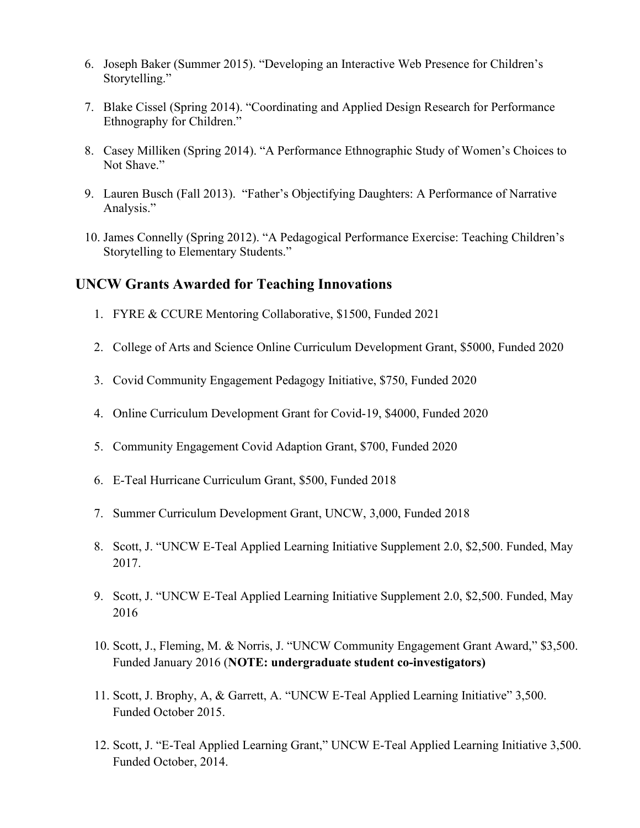- 6. Joseph Baker (Summer 2015). "Developing an Interactive Web Presence for Children's Storytelling."
- 7. Blake Cissel (Spring 2014). "Coordinating and Applied Design Research for Performance Ethnography for Children."
- 8. Casey Milliken (Spring 2014). "A Performance Ethnographic Study of Women's Choices to Not Shave."
- 9. Lauren Busch (Fall 2013). "Father's Objectifying Daughters: A Performance of Narrative Analysis."
- 10. James Connelly (Spring 2012). "A Pedagogical Performance Exercise: Teaching Children's Storytelling to Elementary Students."

## **UNCW Grants Awarded for Teaching Innovations**

- 1. FYRE & CCURE Mentoring Collaborative, \$1500, Funded 2021
- 2. College of Arts and Science Online Curriculum Development Grant, \$5000, Funded 2020
- 3. Covid Community Engagement Pedagogy Initiative, \$750, Funded 2020
- 4. Online Curriculum Development Grant for Covid-19, \$4000, Funded 2020
- 5. Community Engagement Covid Adaption Grant, \$700, Funded 2020
- 6. E-Teal Hurricane Curriculum Grant, \$500, Funded 2018
- 7. Summer Curriculum Development Grant, UNCW, 3,000, Funded 2018
- 8. Scott, J. "UNCW E-Teal Applied Learning Initiative Supplement 2.0, \$2,500. Funded, May 2017.
- 9. Scott, J. "UNCW E-Teal Applied Learning Initiative Supplement 2.0, \$2,500. Funded, May 2016
- 10. Scott, J., Fleming, M. & Norris, J. "UNCW Community Engagement Grant Award," \$3,500. Funded January 2016 (**NOTE: undergraduate student co-investigators)**
- 11. Scott, J. Brophy, A, & Garrett, A. "UNCW E-Teal Applied Learning Initiative" 3,500. Funded October 2015.
- 12. Scott, J. "E-Teal Applied Learning Grant," UNCW E-Teal Applied Learning Initiative 3,500. Funded October, 2014.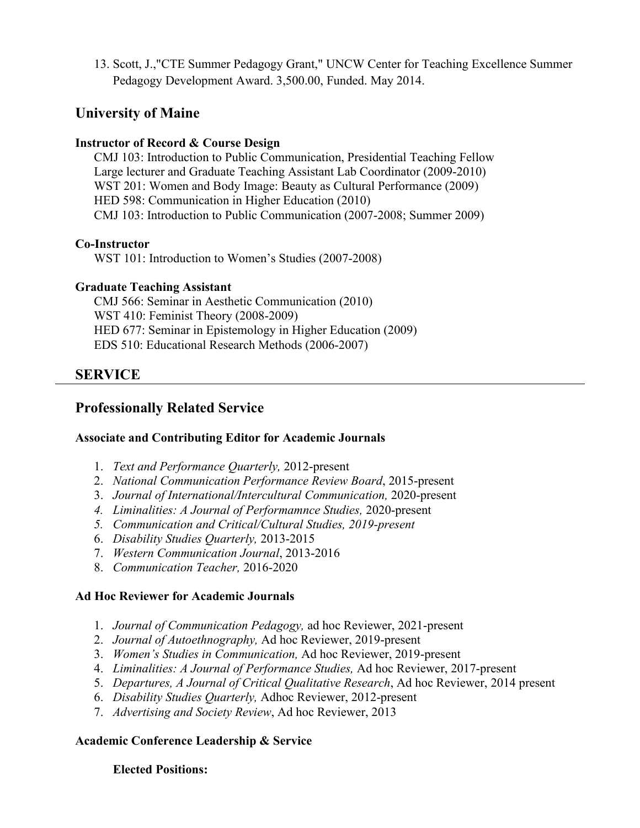13. Scott, J.,"CTE Summer Pedagogy Grant," UNCW Center for Teaching Excellence Summer Pedagogy Development Award. 3,500.00, Funded. May 2014.

# **University of Maine**

### **Instructor of Record & Course Design**

CMJ 103: Introduction to Public Communication, Presidential Teaching Fellow Large lecturer and Graduate Teaching Assistant Lab Coordinator (2009-2010) WST 201: Women and Body Image: Beauty as Cultural Performance (2009) HED 598: Communication in Higher Education (2010) CMJ 103: Introduction to Public Communication (2007-2008; Summer 2009)

## **Co-Instructor**

WST 101: Introduction to Women's Studies (2007-2008)

## **Graduate Teaching Assistant**

CMJ 566: Seminar in Aesthetic Communication (2010) WST 410: Feminist Theory (2008-2009) HED 677: Seminar in Epistemology in Higher Education (2009) EDS 510: Educational Research Methods (2006-2007)

# **SERVICE**

# **Professionally Related Service**

# **Associate and Contributing Editor for Academic Journals**

- 1. *Text and Performance Quarterly,* 2012-present
- 2. *National Communication Performance Review Board*, 2015-present
- 3. *Journal of International/Intercultural Communication,* 2020-present
- *4. Liminalities: A Journal of Performamnce Studies,* 2020-present
- *5. Communication and Critical/Cultural Studies, 2019-present*
- 6. *Disability Studies Quarterly,* 2013-2015
- 7. *Western Communication Journal*, 2013-2016
- 8. *Communication Teacher,* 2016-2020

# **Ad Hoc Reviewer for Academic Journals**

- 1. *Journal of Communication Pedagogy,* ad hoc Reviewer, 2021-present
- 2. *Journal of Autoethnography,* Ad hoc Reviewer, 2019-present
- 3. *Women's Studies in Communication,* Ad hoc Reviewer, 2019-present
- 4. *Liminalities: A Journal of Performance Studies,* Ad hoc Reviewer, 2017-present
- 5. *Departures, A Journal of Critical Qualitative Research*, Ad hoc Reviewer, 2014 present
- 6. *Disability Studies Quarterly,* Adhoc Reviewer, 2012-present
- 7. *Advertising and Society Review*, Ad hoc Reviewer, 2013

# **Academic Conference Leadership & Service**

### **Elected Positions:**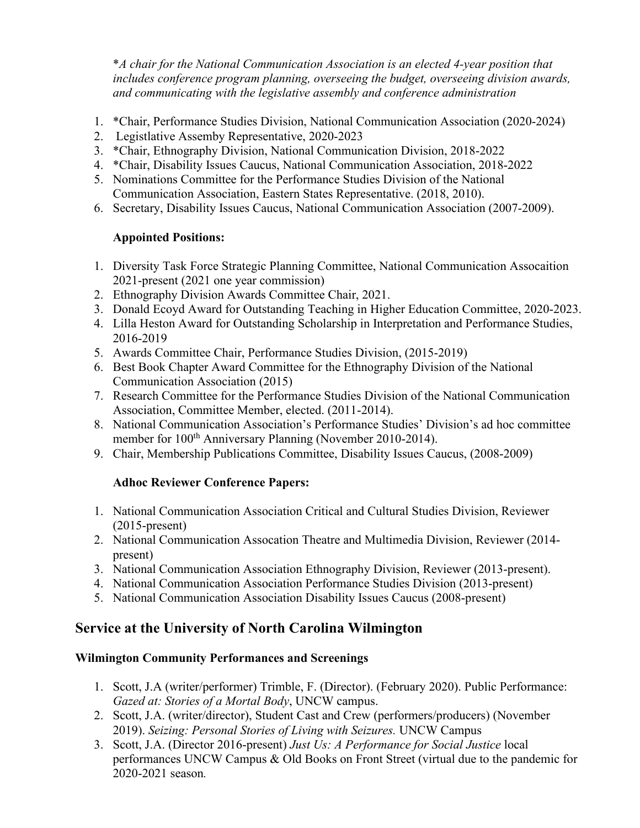\**A chair for the National Communication Association is an elected 4-year position that includes conference program planning, overseeing the budget, overseeing division awards, and communicating with the legislative assembly and conference administration*

- 1. \*Chair, Performance Studies Division, National Communication Association (2020-2024)
- 2. Legistlative Assemby Representative, 2020-2023
- 3. \*Chair, Ethnography Division, National Communication Division, 2018-2022
- 4. \*Chair, Disability Issues Caucus, National Communication Association, 2018-2022
- 5. Nominations Committee for the Performance Studies Division of the National Communication Association, Eastern States Representative. (2018, 2010).
- 6. Secretary, Disability Issues Caucus, National Communication Association (2007-2009).

## **Appointed Positions:**

- 1. Diversity Task Force Strategic Planning Committee, National Communication Assocaition 2021-present (2021 one year commission)
- 2. Ethnography Division Awards Committee Chair, 2021.
- 3. Donald Ecoyd Award for Outstanding Teaching in Higher Education Committee, 2020-2023.
- 4. Lilla Heston Award for Outstanding Scholarship in Interpretation and Performance Studies, 2016-2019
- 5. Awards Committee Chair, Performance Studies Division, (2015-2019)
- 6. Best Book Chapter Award Committee for the Ethnography Division of the National Communication Association (2015)
- 7. Research Committee for the Performance Studies Division of the National Communication Association, Committee Member, elected. (2011-2014).
- 8. National Communication Association's Performance Studies' Division's ad hoc committee member for 100<sup>th</sup> Anniversary Planning (November 2010-2014).
- 9. Chair, Membership Publications Committee, Disability Issues Caucus, (2008-2009)

# **Adhoc Reviewer Conference Papers:**

- 1. National Communication Association Critical and Cultural Studies Division, Reviewer (2015-present)
- 2. National Communication Assocation Theatre and Multimedia Division, Reviewer (2014 present)
- 3. National Communication Association Ethnography Division, Reviewer (2013-present).
- 4. National Communication Association Performance Studies Division (2013-present)
- 5. National Communication Association Disability Issues Caucus (2008-present)

# **Service at the University of North Carolina Wilmington**

# **Wilmington Community Performances and Screenings**

- 1. Scott, J.A (writer/performer) Trimble, F. (Director). (February 2020). Public Performance: *Gazed at: Stories of a Mortal Body*, UNCW campus.
- 2. Scott, J.A. (writer/director), Student Cast and Crew (performers/producers) (November 2019). *Seizing: Personal Stories of Living with Seizures.* UNCW Campus
- 3. Scott, J.A. (Director 2016-present) *Just Us: A Performance for Social Justice* local performances UNCW Campus & Old Books on Front Street (virtual due to the pandemic for 2020-2021 season*.*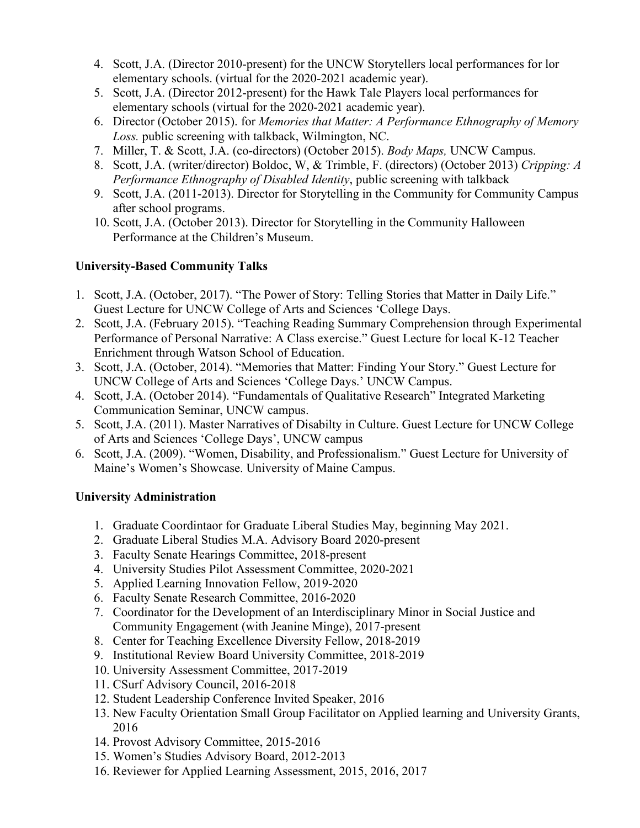- 4. Scott, J.A. (Director 2010-present) for the UNCW Storytellers local performances for lor elementary schools. (virtual for the 2020-2021 academic year).
- 5. Scott, J.A. (Director 2012-present) for the Hawk Tale Players local performances for elementary schools (virtual for the 2020-2021 academic year).
- 6. Director (October 2015). for *Memories that Matter: A Performance Ethnography of Memory Loss.* public screening with talkback, Wilmington, NC.
- 7. Miller, T. & Scott, J.A. (co-directors) (October 2015). *Body Maps,* UNCW Campus.
- 8. Scott, J.A. (writer/director) Boldoc, W, & Trimble, F. (directors) (October 2013) *Cripping: A Performance Ethnography of Disabled Identity*, public screening with talkback
- 9. Scott, J.A. (2011-2013). Director for Storytelling in the Community for Community Campus after school programs.
- 10. Scott, J.A. (October 2013). Director for Storytelling in the Community Halloween Performance at the Children's Museum.

## **University-Based Community Talks**

- 1. Scott, J.A. (October, 2017). "The Power of Story: Telling Stories that Matter in Daily Life." Guest Lecture for UNCW College of Arts and Sciences 'College Days.
- 2. Scott, J.A. (February 2015). "Teaching Reading Summary Comprehension through Experimental Performance of Personal Narrative: A Class exercise." Guest Lecture for local K-12 Teacher Enrichment through Watson School of Education.
- 3. Scott, J.A. (October, 2014). "Memories that Matter: Finding Your Story." Guest Lecture for UNCW College of Arts and Sciences 'College Days.' UNCW Campus.
- 4. Scott, J.A. (October 2014). "Fundamentals of Qualitative Research" Integrated Marketing Communication Seminar, UNCW campus.
- 5. Scott, J.A. (2011). Master Narratives of Disabilty in Culture. Guest Lecture for UNCW College of Arts and Sciences 'College Days', UNCW campus
- 6. Scott, J.A. (2009). "Women, Disability, and Professionalism." Guest Lecture for University of Maine's Women's Showcase. University of Maine Campus.

### **University Administration**

- 1. Graduate Coordintaor for Graduate Liberal Studies May, beginning May 2021.
- 2. Graduate Liberal Studies M.A. Advisory Board 2020-present
- 3. Faculty Senate Hearings Committee, 2018-present
- 4. University Studies Pilot Assessment Committee, 2020-2021
- 5. Applied Learning Innovation Fellow, 2019-2020
- 6. Faculty Senate Research Committee, 2016-2020
- 7. Coordinator for the Development of an Interdisciplinary Minor in Social Justice and Community Engagement (with Jeanine Minge), 2017-present
- 8. Center for Teaching Excellence Diversity Fellow, 2018-2019
- 9. Institutional Review Board University Committee, 2018-2019
- 10. University Assessment Committee, 2017-2019
- 11. CSurf Advisory Council, 2016-2018
- 12. Student Leadership Conference Invited Speaker, 2016
- 13. New Faculty Orientation Small Group Facilitator on Applied learning and University Grants, 2016
- 14. Provost Advisory Committee, 2015-2016
- 15. Women's Studies Advisory Board, 2012-2013
- 16. Reviewer for Applied Learning Assessment, 2015, 2016, 2017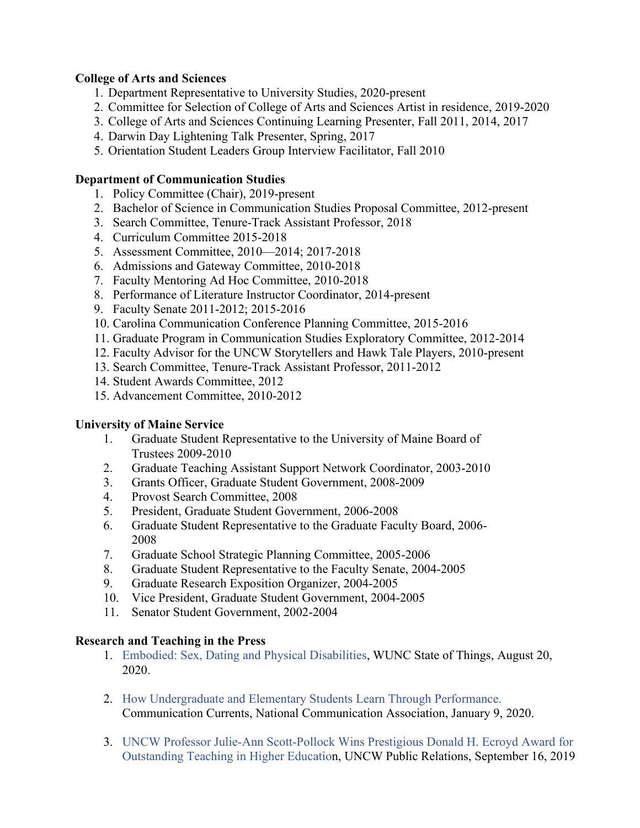### **College of Arts and Sciences**

- 1. Department Representative to University Studies, 2020-present
- 2. Committee for Selection of College of Arts and Sciences Artist in residence, 2019-2020
- 3. College of Arts and Sciences Continuing Learning Presenter, Fall 2011, 2014, 2017
- 4. Darwin Day Lightening Talk Presenter, Spring, 2017
- 5. Orientation Student Leaders Group Interview Facilitator, Fall 2010

#### **Department of Communication Studies**

- 1. Policy Committee (Chair), 2019-present
- 2. Bachelor of Science in Communication Studies Proposal Committee, 2012-present
- 3. Search Committee, Tenure-Track Assistant Professor, 2018
- 4. Curriculum Committee 2015-2018
- 5. Assessment Committee, 2010—2014; 2017-2018
- 6. Admissions and Gateway Committee, 2010-2018
- 7. Faculty Mentoring Ad Hoc Committee, 2010-2018
- 8. Performance of Literature Instructor Coordinator, 2014-present
- 9. Faculty Senate 2011-2012; 2015-2016
- 10. Carolina Communication Conference Planning Committee, 2015-2016
- 11. Graduate Program in Communication Studies Exploratory Committee, 2012-2014
- 12. Faculty Advisor for the UNCW Storytellers and Hawk Tale Players, 2010-present
- 13. Search Committee, Tenure-Track Assistant Professor, 2011-2012
- 14. Student Awards Committee, 2012
- 15. Advancement Committee, 2010-2012

#### **University of Maine Service**

- 1. Graduate Student Representative to the University of Maine Board of Trustees 2009-2010
- 2. Graduate Teaching Assistant Support Network Coordinator, 2003-2010
- 3. Grants Officer, Graduate Student Government, 2008-2009
- 4. Provost Search Committee, 2008
- 5. President, Graduate Student Government, 2006-2008
- 6. Graduate Student Representative to the Graduate Faculty Board, 2006- 2008
- 7. Graduate School Strategic Planning Committee, 2005-2006
- 8. Graduate Student Representative to the Faculty Senate, 2004-2005
- 9. Graduate Research Exposition Organizer, 2004-2005
- 10. Vice President, Graduate Student Government, 2004-2005
- 11. Senator Student Government, 2002-2004

#### **Research and Teaching in the Press**

- 1. [Embodied: Sex, Dating and Physical Disabilities, WUNC State of Things, August 20,](https://www.wunc.org/post/embodied-sex-and-dating-physical-disabilities)  [2020.](https://www.wunc.org/post/embodied-sex-and-dating-physical-disabilities)
- 2. [How Undergraduate and Elementary Students Learn Through Performance.](https://www.natcom.org/communication-currents/how-undergraduate-and-elementary-students-learn-through-performance) Communication Currents, National Communication Association, January 9, 2020.
- 3. UNCW Professor Julie-Ann Scott-Pollock Wins Prestigious Donald H. Ecroyd Award for Outstanding Teaching in Higher Education, UNCW Public Relations, September 16, 2019